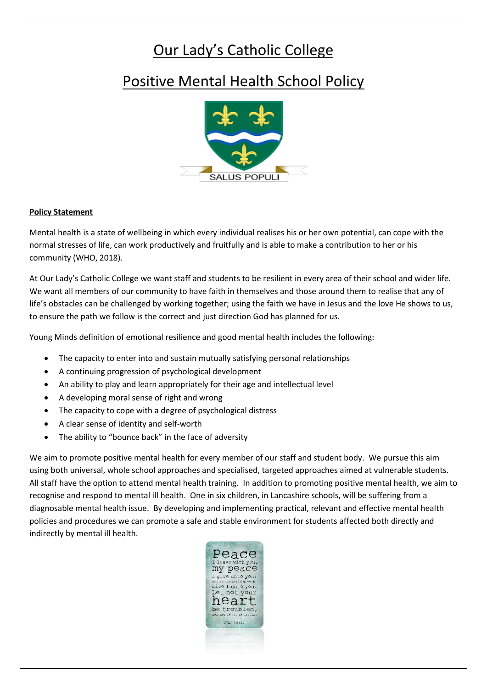# Our Lady's Catholic College

# Positive Mental Health School Policy



## **Policy Statement**

Mental health is a state of wellbeing in which every individual realises his or her own potential, can cope with the normal stresses of life, can work productively and fruitfully and is able to make a contribution to her or his community (WHO, 2018).

At Our Lady's Catholic College we want staff and students to be resilient in every area of their school and wider life. We want all members of our community to have faith in themselves and those around them to realise that any of life's obstacles can be challenged by working together; using the faith we have in Jesus and the love He shows to us, to ensure the path we follow is the correct and just direction God has planned for us.

Young Minds definition of emotional resilience and good mental health includes the following:

- The capacity to enter into and sustain mutually satisfying personal relationships
- A continuing progression of psychological development
- An ability to play and learn appropriately for their age and intellectual level
- A developing moral sense of right and wrong
- The capacity to cope with a degree of psychological distress
- A clear sense of identity and self-worth
- The ability to "bounce back" in the face of adversity

We aim to promote positive mental health for every member of our staff and student body. We pursue this aim using both universal, whole school approaches and specialised, targeted approaches aimed at vulnerable students. All staff have the option to attend mental health training. In addition to promoting positive mental health, we aim to recognise and respond to mental ill health. One in six children, in Lancashire schools, will be suffering from a diagnosable mental health issue. By developing and implementing practical, relevant and effective mental health policies and procedures we can promote a safe and stable environment for students affected both directly and indirectly by mental ill health.

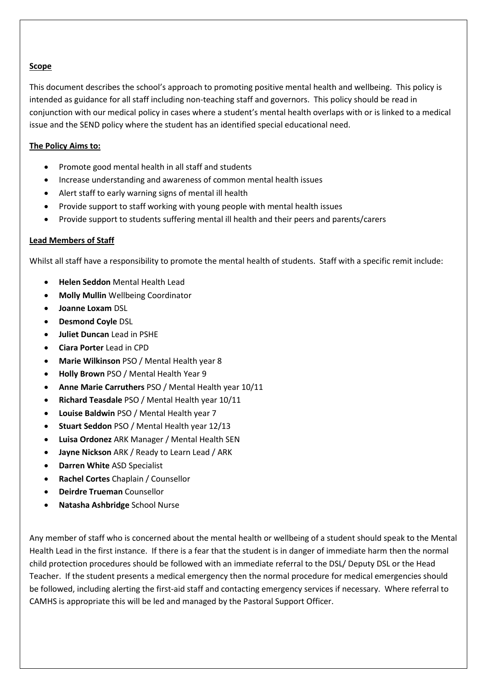#### **Scope**

This document describes the school's approach to promoting positive mental health and wellbeing. This policy is intended as guidance for all staff including non-teaching staff and governors. This policy should be read in conjunction with our medical policy in cases where a student's mental health overlaps with or is linked to a medical issue and the SEND policy where the student has an identified special educational need.

#### **The Policy Aims to:**

- Promote good mental health in all staff and students
- Increase understanding and awareness of common mental health issues
- Alert staff to early warning signs of mental ill health
- Provide support to staff working with young people with mental health issues
- Provide support to students suffering mental ill health and their peers and parents/carers

#### **Lead Members of Staff**

Whilst all staff have a responsibility to promote the mental health of students. Staff with a specific remit include:

- **Helen Seddon** Mental Health Lead
- **Molly Mullin** Wellbeing Coordinator
- **Joanne Loxam** DSL
- **Desmond Coyle** DSL
- **Juliet Duncan** Lead in PSHE
- **Ciara Porter** Lead in CPD
- **Marie Wilkinson** PSO / Mental Health year 8
- **Holly Brown** PSO / Mental Health Year 9
- **Anne Marie Carruthers** PSO / Mental Health year 10/11
- **Richard Teasdale** PSO / Mental Health year 10/11
- **Louise Baldwin** PSO / Mental Health year 7
- **Stuart Seddon** PSO / Mental Health year 12/13
- **Luisa Ordonez** ARK Manager / Mental Health SEN
- **Jayne Nickson** ARK / Ready to Learn Lead / ARK
- **Darren White** ASD Specialist
- **Rachel Cortes** Chaplain / Counsellor
- **Deirdre Trueman** Counsellor
- **Natasha Ashbridge** School Nurse

Any member of staff who is concerned about the mental health or wellbeing of a student should speak to the Mental Health Lead in the first instance. If there is a fear that the student is in danger of immediate harm then the normal child protection procedures should be followed with an immediate referral to the DSL/ Deputy DSL or the Head Teacher. If the student presents a medical emergency then the normal procedure for medical emergencies should be followed, including alerting the first-aid staff and contacting emergency services if necessary. Where referral to CAMHS is appropriate this will be led and managed by the Pastoral Support Officer.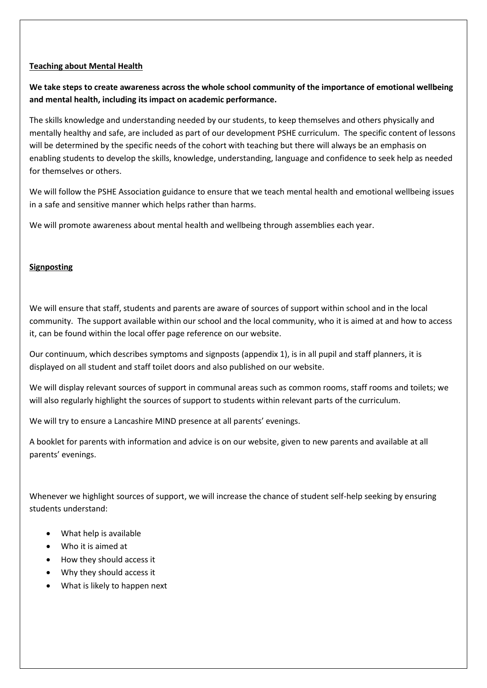#### **Teaching about Mental Health**

# **We take steps to create awareness across the whole school community of the importance of emotional wellbeing and mental health, including its impact on academic performance.**

The skills knowledge and understanding needed by our students, to keep themselves and others physically and mentally healthy and safe, are included as part of our development PSHE curriculum. The specific content of lessons will be determined by the specific needs of the cohort with teaching but there will always be an emphasis on enabling students to develop the skills, knowledge, understanding, language and confidence to seek help as needed for themselves or others.

We will follow the PSHE Association guidance to ensure that we teach mental health and emotional wellbeing issues in a safe and sensitive manner which helps rather than harms.

We will promote awareness about mental health and wellbeing through assemblies each year.

## **Signposting**

We will ensure that staff, students and parents are aware of sources of support within school and in the local community. The support available within our school and the local community, who it is aimed at and how to access it, can be found within the local offer page reference on our website.

Our continuum, which describes symptoms and signposts (appendix 1), is in all pupil and staff planners, it is displayed on all student and staff toilet doors and also published on our website.

We will display relevant sources of support in communal areas such as common rooms, staff rooms and toilets; we will also regularly highlight the sources of support to students within relevant parts of the curriculum.

We will try to ensure a Lancashire MIND presence at all parents' evenings.

A booklet for parents with information and advice is on our website, given to new parents and available at all parents' evenings.

Whenever we highlight sources of support, we will increase the chance of student self-help seeking by ensuring students understand:

- What help is available
- Who it is aimed at
- How they should access it
- Why they should access it
- What is likely to happen next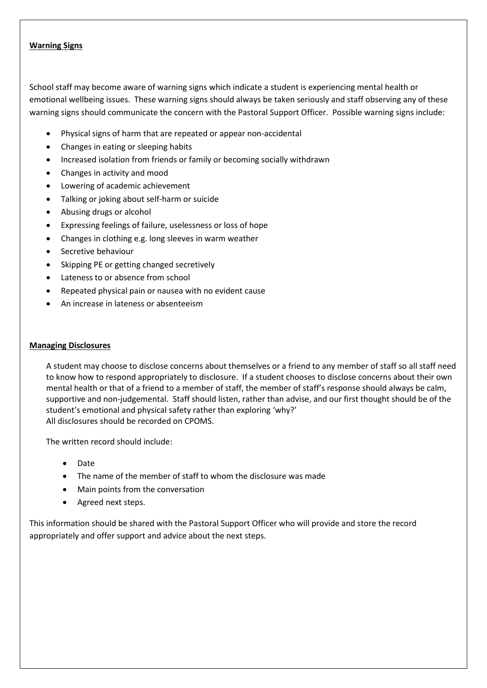#### **Warning Signs**

School staff may become aware of warning signs which indicate a student is experiencing mental health or emotional wellbeing issues. These warning signs should always be taken seriously and staff observing any of these warning signs should communicate the concern with the Pastoral Support Officer. Possible warning signs include:

- Physical signs of harm that are repeated or appear non-accidental
- Changes in eating or sleeping habits
- Increased isolation from friends or family or becoming socially withdrawn
- Changes in activity and mood
- Lowering of academic achievement
- Talking or joking about self-harm or suicide
- Abusing drugs or alcohol
- Expressing feelings of failure, uselessness or loss of hope
- Changes in clothing e.g. long sleeves in warm weather
- Secretive behaviour
- Skipping PE or getting changed secretively
- Lateness to or absence from school
- Repeated physical pain or nausea with no evident cause
- An increase in lateness or absenteeism

#### **Managing Disclosures**

A student may choose to disclose concerns about themselves or a friend to any member of staff so all staff need to know how to respond appropriately to disclosure. If a student chooses to disclose concerns about their own mental health or that of a friend to a member of staff, the member of staff's response should always be calm, supportive and non-judgemental. Staff should listen, rather than advise, and our first thought should be of the student's emotional and physical safety rather than exploring 'why?' All disclosures should be recorded on CPOMS.

The written record should include:

- Date
- The name of the member of staff to whom the disclosure was made
- Main points from the conversation
- Agreed next steps.

This information should be shared with the Pastoral Support Officer who will provide and store the record appropriately and offer support and advice about the next steps.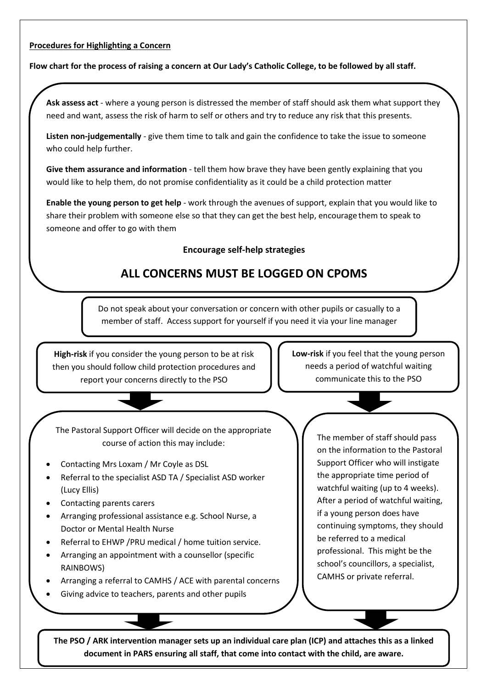#### **Procedures for Highlighting a Concern**

**Flow chart for the process of raising a concern at Our Lady's Catholic College, to be followed by all staff.**

**Ask assess act** - where a young person is distressed the member of staff should ask them what support they need and want, assess the risk of harm to self or others and try to reduce any risk that this presents.

**Listen non-judgementally** - give them time to talk and gain the confidence to take the issue to someone who could help further.

**Give them assurance and information** - tell them how brave they have been gently explaining that you would like to help them, do not promise confidentiality as it could be a child protection matter

**Enable the young person to get help** - work through the avenues of support, explain that you would like to share their problem with someone else so that they can get the best help, encourage them to speak to someone and offer to go with them

## **Encourage self-help strategies**

# **ALL CONCERNS MUST BE LOGGED ON CPOMS**

Do not speak about your conversation or concern with other pupils or casually to a member of staff. Access support for yourself if you need it via your line manager

**High-risk** if you consider the young person to be at risk then you should follow child protection procedures and report your concerns directly to the PSO

**Low-risk** if you feel that the young person needs a period of watchful waiting communicate this to the PSO

The Pastoral Support Officer will decide on the appropriate course of action this may include:

- Contacting Mrs Loxam / Mr Coyle as DSL
- Referral to the specialist ASD TA / Specialist ASD worker (Lucy Ellis)
- Contacting parents carers
- Arranging professional assistance e.g. School Nurse, a Doctor or Mental Health Nurse
- Referral to EHWP /PRU medical / home tuition service.
- Arranging an appointment with a counsellor (specific RAINBOWS)
- Arranging a referral to CAMHS / ACE with parental concerns
- Giving advice to teachers, parents and other pupils

The member of staff should pass on the information to the Pastoral Support Officer who will instigate the appropriate time period of watchful waiting (up to 4 weeks). After a period of watchful waiting, if a young person does have continuing symptoms, they should be referred to a medical professional. This might be the school's councillors, a specialist, CAMHS or private referral.

**The PSO / ARK intervention manager sets up an individual care plan (ICP) and attaches this as a linked document in PARS ensuring all staff, that come into contact with the child, are aware.**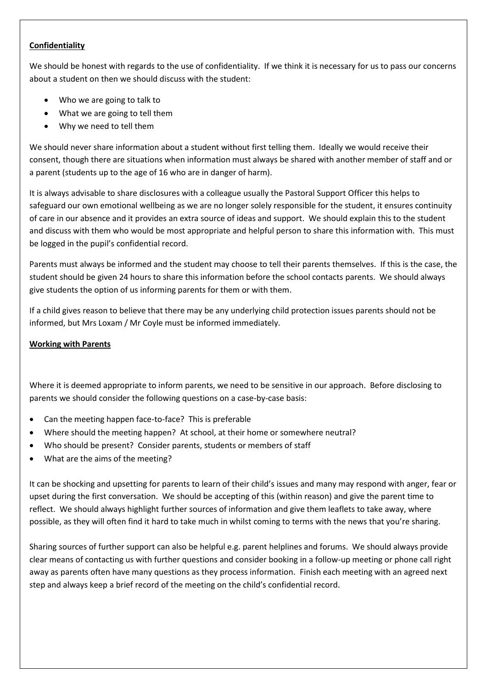# **Confidentiality**

We should be honest with regards to the use of confidentiality. If we think it is necessary for us to pass our concerns about a student on then we should discuss with the student:

- Who we are going to talk to
- What we are going to tell them
- Why we need to tell them

We should never share information about a student without first telling them. Ideally we would receive their consent, though there are situations when information must always be shared with another member of staff and or a parent (students up to the age of 16 who are in danger of harm).

It is always advisable to share disclosures with a colleague usually the Pastoral Support Officer this helps to safeguard our own emotional wellbeing as we are no longer solely responsible for the student, it ensures continuity of care in our absence and it provides an extra source of ideas and support. We should explain this to the student and discuss with them who would be most appropriate and helpful person to share this information with. This must be logged in the pupil's confidential record.

Parents must always be informed and the student may choose to tell their parents themselves. If this is the case, the student should be given 24 hours to share this information before the school contacts parents. We should always give students the option of us informing parents for them or with them.

If a child gives reason to believe that there may be any underlying child protection issues parents should not be informed, but Mrs Loxam / Mr Coyle must be informed immediately.

#### **Working with Parents**

Where it is deemed appropriate to inform parents, we need to be sensitive in our approach. Before disclosing to parents we should consider the following questions on a case-by-case basis:

- Can the meeting happen face-to-face? This is preferable
- Where should the meeting happen? At school, at their home or somewhere neutral?
- Who should be present? Consider parents, students or members of staff
- What are the aims of the meeting?

It can be shocking and upsetting for parents to learn of their child's issues and many may respond with anger, fear or upset during the first conversation. We should be accepting of this (within reason) and give the parent time to reflect. We should always highlight further sources of information and give them leaflets to take away, where possible, as they will often find it hard to take much in whilst coming to terms with the news that you're sharing.

Sharing sources of further support can also be helpful e.g. parent helplines and forums. We should always provide clear means of contacting us with further questions and consider booking in a follow-up meeting or phone call right away as parents often have many questions as they process information. Finish each meeting with an agreed next step and always keep a brief record of the meeting on the child's confidential record.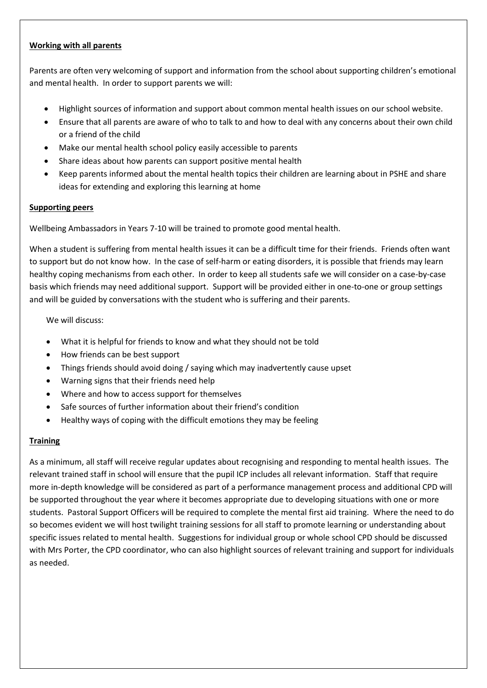## **Working with all parents**

Parents are often very welcoming of support and information from the school about supporting children's emotional and mental health. In order to support parents we will:

- Highlight sources of information and support about common mental health issues on our school website.
- Ensure that all parents are aware of who to talk to and how to deal with any concerns about their own child or a friend of the child
- Make our mental health school policy easily accessible to parents
- Share ideas about how parents can support positive mental health
- Keep parents informed about the mental health topics their children are learning about in PSHE and share ideas for extending and exploring this learning at home

#### **Supporting peers**

Wellbeing Ambassadors in Years 7-10 will be trained to promote good mental health.

When a student is suffering from mental health issues it can be a difficult time for their friends. Friends often want to support but do not know how. In the case of self-harm or eating disorders, it is possible that friends may learn healthy coping mechanisms from each other. In order to keep all students safe we will consider on a case-by-case basis which friends may need additional support. Support will be provided either in one-to-one or group settings and will be guided by conversations with the student who is suffering and their parents.

We will discuss:

- What it is helpful for friends to know and what they should not be told
- How friends can be best support
- Things friends should avoid doing / saying which may inadvertently cause upset
- Warning signs that their friends need help
- Where and how to access support for themselves
- Safe sources of further information about their friend's condition
- Healthy ways of coping with the difficult emotions they may be feeling

## **Training**

As a minimum, all staff will receive regular updates about recognising and responding to mental health issues. The relevant trained staff in school will ensure that the pupil ICP includes all relevant information. Staff that require more in-depth knowledge will be considered as part of a performance management process and additional CPD will be supported throughout the year where it becomes appropriate due to developing situations with one or more students. Pastoral Support Officers will be required to complete the mental first aid training. Where the need to do so becomes evident we will host twilight training sessions for all staff to promote learning or understanding about specific issues related to mental health. Suggestions for individual group or whole school CPD should be discussed with Mrs Porter, the CPD coordinator, who can also highlight sources of relevant training and support for individuals as needed.